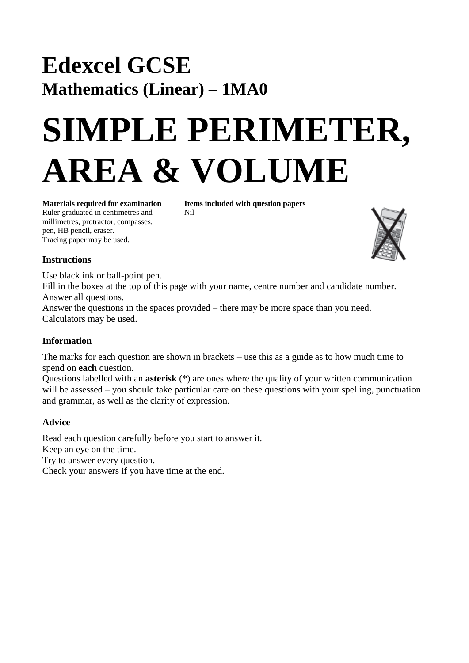## **Edexcel GCSE Mathematics (Linear) – 1MA0**

# **SIMPLE PERIMETER, AREA & VOLUME**

Ruler graduated in centimetres and Nil millimetres, protractor, compasses, pen, HB pencil, eraser. Tracing paper may be used.

**Materials required for examination Items included with question papers** 



#### **Instructions**

Use black ink or ball-point pen. Fill in the boxes at the top of this page with your name, centre number and candidate number. Answer all questions. Answer the questions in the spaces provided – there may be more space than you need. Calculators may be used.

### **Information**

The marks for each question are shown in brackets – use this as a guide as to how much time to spend on **each** question.

Questions labelled with an **asterisk** (\*) are ones where the quality of your written communication will be assessed – you should take particular care on these questions with your spelling, punctuation and grammar, as well as the clarity of expression.

#### **Advice**

Read each question carefully before you start to answer it. Keep an eye on the time.

Try to answer every question.

Check your answers if you have time at the end.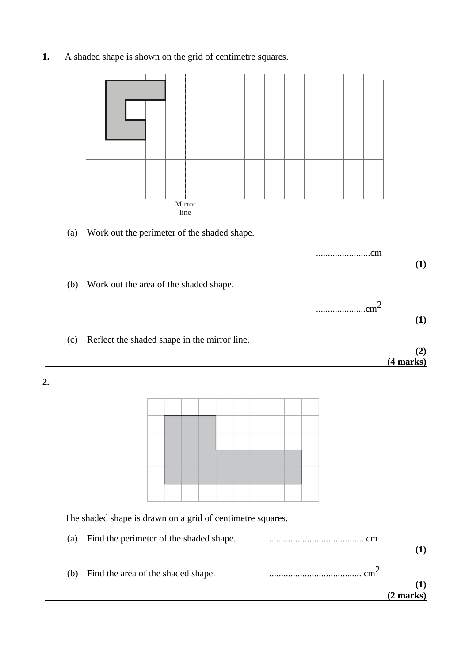|    |     |                                                            |                                              |  | Mirror |  |                          |  |  |    |                 |             |
|----|-----|------------------------------------------------------------|----------------------------------------------|--|--------|--|--------------------------|--|--|----|-----------------|-------------|
|    |     |                                                            |                                              |  | line   |  |                          |  |  |    |                 |             |
|    | (a) |                                                            | Work out the perimeter of the shaded shape.  |  |        |  |                          |  |  |    |                 |             |
|    |     |                                                            |                                              |  |        |  |                          |  |  | cm |                 | (1)         |
|    |     |                                                            | Work out the area of the shaded shape.       |  |        |  |                          |  |  |    |                 |             |
|    | (b) |                                                            |                                              |  |        |  |                          |  |  |    |                 |             |
|    |     |                                                            |                                              |  |        |  |                          |  |  |    | cm <sup>2</sup> | <b>(1)</b>  |
|    |     |                                                            |                                              |  |        |  |                          |  |  |    |                 |             |
|    | (c) |                                                            | Reflect the shaded shape in the mirror line. |  |        |  |                          |  |  |    |                 | (2)         |
|    |     |                                                            |                                              |  |        |  |                          |  |  |    |                 | $(4$ marks) |
| 2. |     |                                                            |                                              |  |        |  |                          |  |  |    |                 |             |
|    |     |                                                            |                                              |  |        |  |                          |  |  |    |                 |             |
|    |     |                                                            |                                              |  |        |  |                          |  |  |    |                 |             |
|    |     |                                                            |                                              |  |        |  |                          |  |  |    |                 |             |
|    |     |                                                            |                                              |  |        |  |                          |  |  |    |                 |             |
|    |     |                                                            |                                              |  |        |  |                          |  |  |    |                 |             |
|    |     |                                                            |                                              |  |        |  |                          |  |  |    |                 |             |
|    |     | The shaded shape is drawn on a grid of centimetre squares. |                                              |  |        |  |                          |  |  |    |                 |             |
|    | (a) |                                                            | Find the perimeter of the shaded shape.      |  |        |  |                          |  |  |    |                 |             |
|    |     |                                                            |                                              |  |        |  |                          |  |  |    |                 | (1)         |
|    | (b) |                                                            | Find the area of the shaded shape.           |  |        |  | $\cdots$ cm <sup>2</sup> |  |  |    |                 |             |
|    |     |                                                            |                                              |  |        |  |                          |  |  |    |                 | (1)         |
|    |     |                                                            |                                              |  |        |  |                          |  |  |    |                 | $(2$ marks) |

**1.** A shaded shape is shown on the grid of centimetre squares.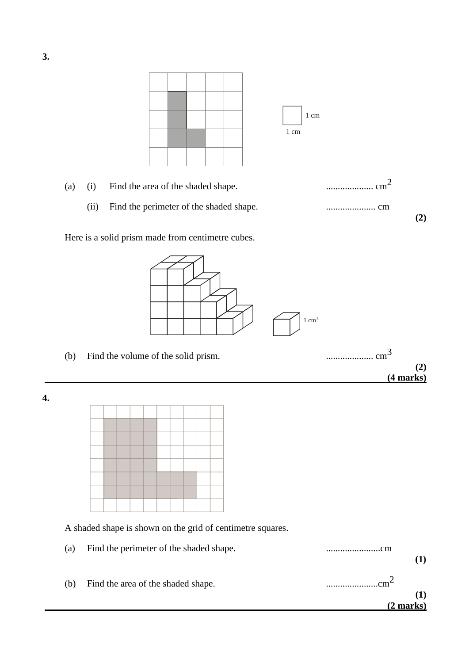



Here is a solid prism made from centimetre cubes.



**4.**



A shaded shape is shown on the grid of centimetre squares.

| (a) | Find the perimeter of the shaded shape. | cm        |
|-----|-----------------------------------------|-----------|
| (b) | Find the area of the shaded shape.      | cm∼       |
|     |                                         | (2 marks) |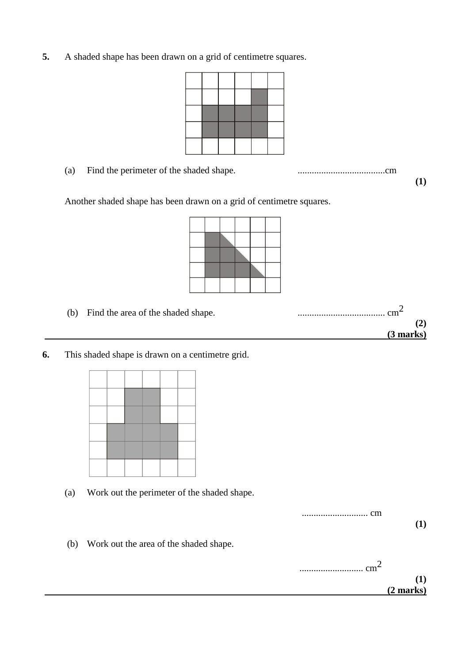**5.** A shaded shape has been drawn on a grid of centimetre squares.



(a) Find the perimeter of the shaded shape. .....................................cm

**(1)**

Another shaded shape has been drawn on a grid of centimetre squares.



| (b) | Find the area of the shaded shape. | . cm $\sim$ |
|-----|------------------------------------|-------------|
|     |                                    |             |
|     |                                    | (3 marks)   |
|     |                                    |             |

**6.** This shaded shape is drawn on a centimetre grid.



(a) Work out the perimeter of the shaded shape.



(b) Work out the area of the shaded shape.

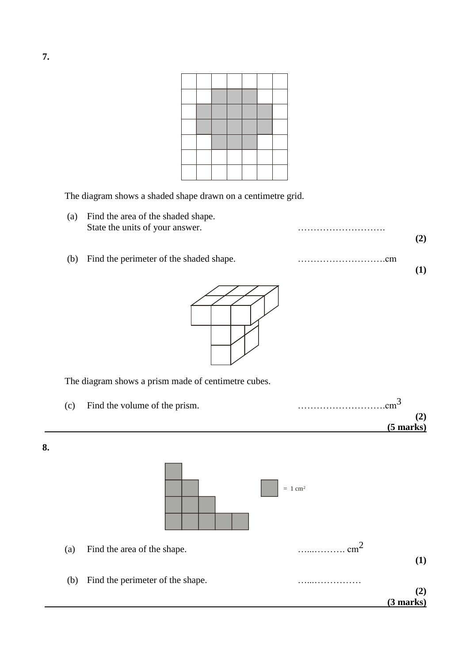The diagram shows a shaded shape drawn on a centimetre grid.

(a) Find the area of the shaded shape. State the units of your answer. **(2)** (b) Find the perimeter of the shaded shape. ……………………….cm **(1)**



The diagram shows a prism made of centimetre cubes.



|                     | $\rm cm^{-2}$ | Find the area of the shape.      | (a) |
|---------------------|---------------|----------------------------------|-----|
| (2)                 |               | Find the perimeter of the shape. | (b) |
| $(3 \text{ marks})$ |               |                                  |     |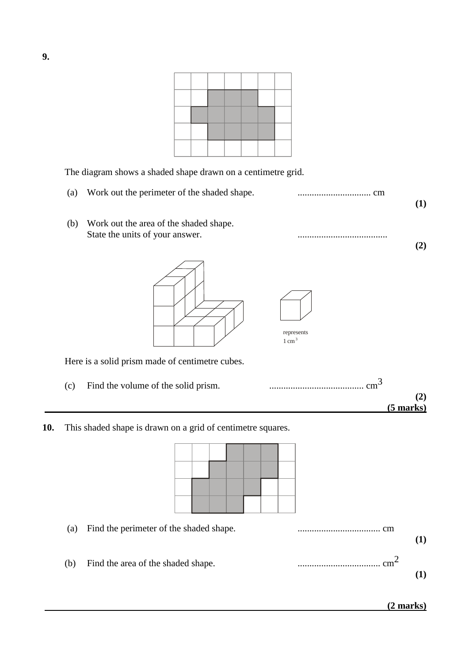The diagram shows a shaded shape drawn on a centimetre grid.

(a) Work out the perimeter of the shaded shape. ............................... cm **(1)** (b) Work out the area of the shaded shape. State the units of your answer. **(2)** Here is a solid prism made of centimetre cubes. (c) Find the volume of the solid prism. ........................................ cm3 **(2) (5 marks) 10.** This shaded shape is drawn on a grid of centimetre squares. represents  $1 \text{ cm}^3$ 

(a) Find the perimeter of the shaded shape. ................................... cm **(1)** (b) Find the area of the shaded shape. ................................... cm2 **(1)**

**9.**

 **(2 marks)**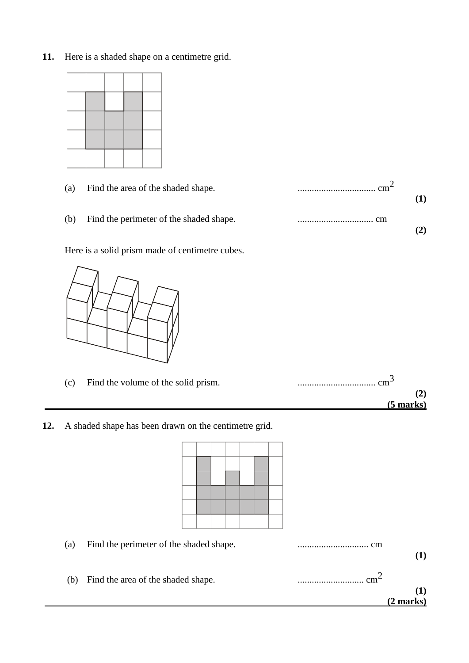**11.** Here is a shaded shape on a centimetre grid.

| _____ | ____ |  |
|-------|------|--|
|       |      |  |
|       |      |  |
|       |      |  |
|       |      |  |

| (a) | Find the area of the shaded shape.      | $\rm cm^{\sim}$ |  |
|-----|-----------------------------------------|-----------------|--|
| (b) | Find the perimeter of the shaded shape. |                 |  |

Here is a solid prism made of centimetre cubes.



| (c) | Find the volume of the solid prism. | $\ldots \ldots \ldots \ldots \ldots \ldots \ldots \ldots \ldots \text{cm}$ |
|-----|-------------------------------------|----------------------------------------------------------------------------|
|     |                                     |                                                                            |
|     |                                     | $(5$ marks)                                                                |

**12.** A shaded shape has been drawn on the centimetre grid.

| (a) | Find the perimeter of the shaded shape. |  |  |  | cm<br>. |
|-----|-----------------------------------------|--|--|--|---------|
|     |                                         |  |  |  |         |